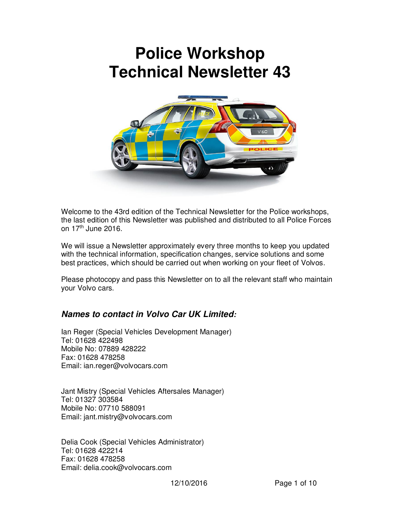# **Police Workshop Technical Newsletter 43**



Welcome to the 43rd edition of the Technical Newsletter for the Police workshops, the last edition of this Newsletter was published and distributed to all Police Forces on 17<sup>th</sup> June 2016.

We will issue a Newsletter approximately every three months to keep you updated with the technical information, specification changes, service solutions and some best practices, which should be carried out when working on your fleet of Volvos.

Please photocopy and pass this Newsletter on to all the relevant staff who maintain your Volvo cars.

# *Names to contact in Volvo Car UK Limited:*

Ian Reger (Special Vehicles Development Manager) Tel: 01628 422498 Mobile No: 07889 428222 Fax: 01628 478258 Email: ian.reger@volvocars.com

Jant Mistry (Special Vehicles Aftersales Manager) Tel: 01327 303584 Mobile No: 07710 588091 Email: jant.mistry@volvocars.com

Delia Cook (Special Vehicles Administrator) Tel: 01628 422214 Fax: 01628 478258 Email: delia.cook@volvocars.com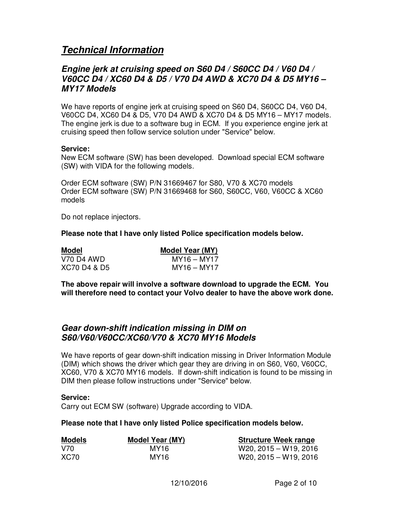# *Technical Information*

# *Engine jerk at cruising speed on S60 D4 / S60CC D4 / V60 D4 / V60CC D4 / XC60 D4 & D5 / V70 D4 AWD & XC70 D4 & D5 MY16 – MY17 Models*

We have reports of engine jerk at cruising speed on S60 D4, S60CC D4, V60 D4, V60CC D4, XC60 D4 & D5, V70 D4 AWD & XC70 D4 & D5 MY16 – MY17 models. The engine jerk is due to a software bug in ECM. If you experience engine jerk at cruising speed then follow service solution under "Service" below.

#### **Service:**

New ECM software (SW) has been developed. Download special ECM software (SW) with VIDA for the following models.

Order ECM software (SW) P/N 31669467 for S80, V70 & XC70 models Order ECM software (SW) P/N 31669468 for S60, S60CC, V60, V60CC & XC60 models

Do not replace injectors.

**Please note that I have only listed Police specification models below.**

| <b>Model</b> | <b>Model Year (MY)</b> |
|--------------|------------------------|
| V70 D4 AWD   | MY16 – MY17            |
| XC70 D4 & D5 | MY16 – MY17            |

**The above repair will involve a software download to upgrade the ECM. You will therefore need to contact your Volvo dealer to have the above work done.** 

### *Gear down-shift indication missing in DIM on S60/V60/V60CC/XC60/V70 & XC70 MY16 Models*

We have reports of gear down-shift indication missing in Driver Information Module (DIM) which shows the driver which gear they are driving in on S60, V60, V60CC, XC60, V70 & XC70 MY16 models. If down-shift indication is found to be missing in DIM then please follow instructions under "Service" below.

#### **Service:**

Carry out ECM SW (software) Upgrade according to VIDA.

#### **Please note that I have only listed Police specification models below.**

| Models | Model Year (MY) | <b>Structure Week range</b> |
|--------|-----------------|-----------------------------|
| V70.   | MY16            | $W20, 2015 - W19, 2016$     |
| XC70   | MY16            | $W20, 2015 - W19, 2016$     |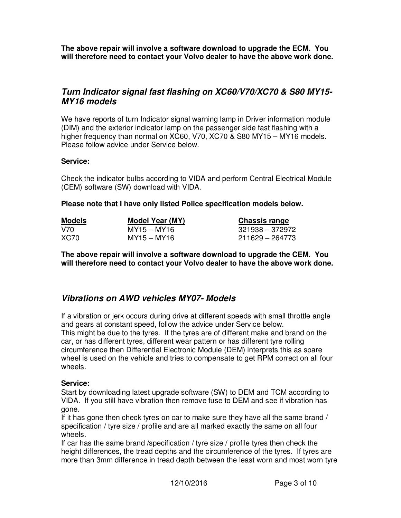**The above repair will involve a software download to upgrade the ECM. You will therefore need to contact your Volvo dealer to have the above work done.**

# *Turn Indicator signal fast flashing on XC60/V70/XC70 & S80 MY15- MY16 models*

We have reports of turn Indicator signal warning lamp in Driver information module (DIM) and the exterior indicator lamp on the passenger side fast flashing with a higher frequency than normal on XC60, V70, XC70 & S80 MY15 – MY16 models. Please follow advice under Service below.

#### **Service:**

Check the indicator bulbs according to VIDA and perform Central Electrical Module (CEM) software (SW) download with VIDA.

#### **Please note that I have only listed Police specification models below.**

| <b>Models</b> | Model Year (MY) | <b>Chassis range</b> |  |
|---------------|-----------------|----------------------|--|
| V70.          | MY15 – MY16     | 321938 – 372972      |  |
| <b>XC70</b>   | MY15 – MY16     | 211629 – 264773      |  |

**The above repair will involve a software download to upgrade the CEM. You will therefore need to contact your Volvo dealer to have the above work done.**

# *Vibrations on AWD vehicles MY07- Models*

If a vibration or jerk occurs during drive at different speeds with small throttle angle and gears at constant speed, follow the advice under Service below. This might be due to the tyres. If the tyres are of different make and brand on the car, or has different tyres, different wear pattern or has different tyre rolling circumference then Differential Electronic Module (DEM) interprets this as spare wheel is used on the vehicle and tries to compensate to get RPM correct on all four wheels.

#### **Service:**

Start by downloading latest upgrade software (SW) to DEM and TCM according to VIDA. If you still have vibration then remove fuse to DEM and see if vibration has gone.

If it has gone then check tyres on car to make sure they have all the same brand / specification / tyre size / profile and are all marked exactly the same on all four wheels.

If car has the same brand /specification / tyre size / profile tyres then check the height differences, the tread depths and the circumference of the tyres. If tyres are more than 3mm difference in tread depth between the least worn and most worn tyre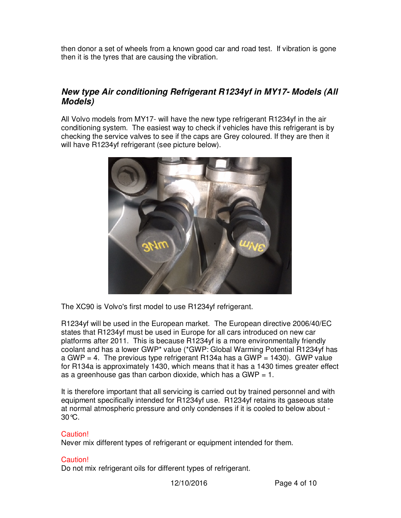then donor a set of wheels from a known good car and road test. If vibration is gone then it is the tyres that are causing the vibration.

# *New type Air conditioning Refrigerant R1234yf in MY17- Models (All Models)*

All Volvo models from MY17- will have the new type refrigerant R1234yf in the air conditioning system. The easiest way to check if vehicles have this refrigerant is by checking the service valves to see if the caps are Grey coloured. If they are then it will have R1234yf refrigerant (see picture below).



The XC90 is Volvo's first model to use R1234yf refrigerant.

R1234yf will be used in the European market. The European directive 2006/40/EC states that R1234yf must be used in Europe for all cars introduced on new car platforms after 2011. This is because R1234yf is a more environmentally friendly coolant and has a lower GWP\* value (\*GWP: Global Warming Potential R1234yf has a GWP = 4. The previous type refrigerant R134a has a GWP = 1430). GWP value for R134a is approximately 1430, which means that it has a 1430 times greater effect as a greenhouse gas than carbon dioxide, which has a GWP  $= 1$ .

It is therefore important that all servicing is carried out by trained personnel and with equipment specifically intended for R1234yf use. R1234yf retains its gaseous state at normal atmospheric pressure and only condenses if it is cooled to below about - 30°C.

#### Caution!

Never mix different types of refrigerant or equipment intended for them.

#### Caution!

Do not mix refrigerant oils for different types of refrigerant.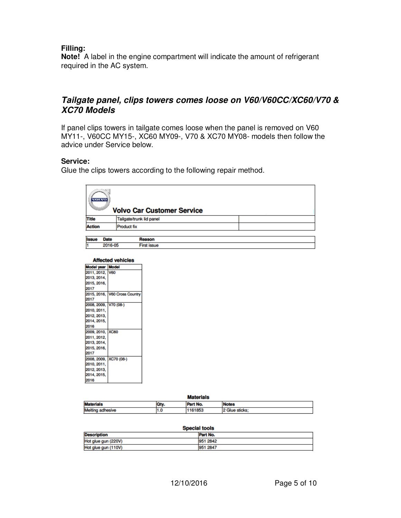#### **Filling:**

**Note!** A label in the engine compartment will indicate the amount of refrigerant required in the AC system.

## *Tailgate panel, clips towers comes loose on V60/V60CC/XC60/V70 & XC70 Models*

If panel clips towers in tailgate comes loose when the panel is removed on V60 MY11-, V60CC MY15-, XC60 MY09-, V70 & XC70 MY08- models then follow the advice under Service below.

#### **Service:**

Glue the clips towers according to the following repair method.

| - 54<br><b>VOTATO</b> | <b>Volvo Car Customer Service</b> |  |
|-----------------------|-----------------------------------|--|
| <b>Title</b>          | Tailgate/trunk lid panel          |  |
| <b>Action</b>         | <b>Product fix</b>                |  |
|                       |                                   |  |

| <b>Issue</b> | <b>Date</b> |  |
|--------------|-------------|--|
| н            | 2016-05     |  |

#### **Affected vehicles**

| 2015, 2016, V60 Cross Country |
|-------------------------------|
|                               |
|                               |
|                               |
|                               |
|                               |
|                               |
|                               |
|                               |
|                               |
|                               |
|                               |
|                               |
|                               |
|                               |
|                               |
|                               |
|                               |
|                               |
|                               |
|                               |
|                               |
|                               |
|                               |

#### Motoriale

| <b>Materials</b> |     |     |                     |
|------------------|-----|-----|---------------------|
| Motorial         |     |     | 11.11               |
| Me               | 1.U | 893 | sticks <sup>®</sup> |

#### **Special tools**

| <b>Description</b>  | Part No. |
|---------------------|----------|
| Hot glue gun (220V) | 951 2842 |
| Hot glue gun (110V) | 951 2847 |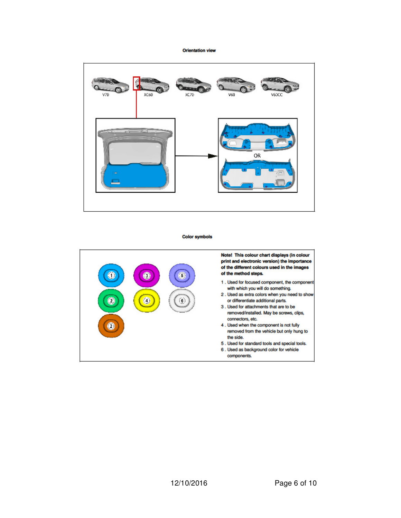**Orientation view** 



**Color symbols** 

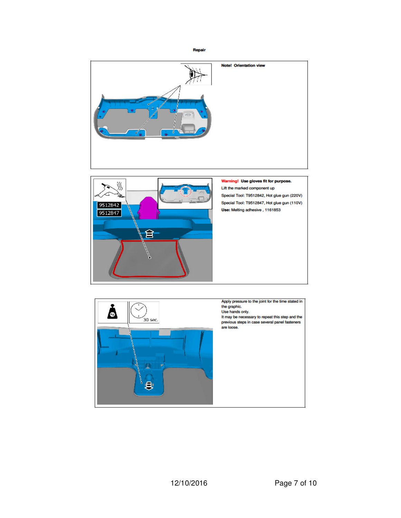Repair



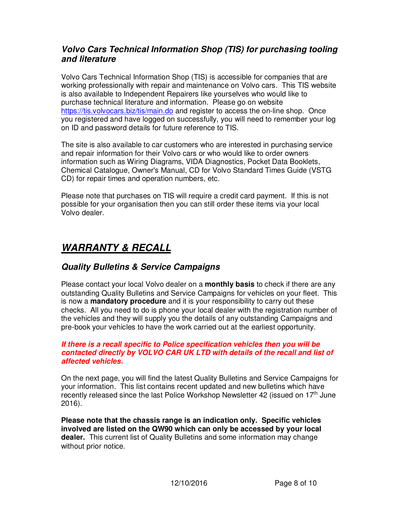# *Volvo Cars Technical Information Shop (TIS) for purchasing tooling and literature*

Volvo Cars Technical Information Shop (TIS) is accessible for companies that are working professionally with repair and maintenance on Volvo cars. This TIS website is also available to Independent Repairers like yourselves who would like to purchase technical literature and information. Please go on website https://tis.volvocars.biz/tis/main.do and register to access the on-line shop. Once you registered and have logged on successfully, you will need to remember your log on ID and password details for future reference to TIS.

The site is also available to car customers who are interested in purchasing service and repair information for their Volvo cars or who would like to order owners information such as Wiring Diagrams, VIDA Diagnostics, Pocket Data Booklets, Chemical Catalogue, Owner's Manual, CD for Volvo Standard Times Guide (VSTG CD) for repair times and operation numbers, etc.

Please note that purchases on TIS will require a credit card payment. If this is not possible for your organisation then you can still order these items via your local Volvo dealer.

# *WARRANTY & RECALL*

# *Quality Bulletins & Service Campaigns*

Please contact your local Volvo dealer on a **monthly basis** to check if there are any outstanding Quality Bulletins and Service Campaigns for vehicles on your fleet. This is now a **mandatory procedure** and it is your responsibility to carry out these checks. All you need to do is phone your local dealer with the registration number of the vehicles and they will supply you the details of any outstanding Campaigns and pre-book your vehicles to have the work carried out at the earliest opportunity.

#### *If there is a recall specific to Police specification vehicles then you will be contacted directly by VOLVO CAR UK LTD with details of the recall and list of affected vehicles.*

On the next page, you will find the latest Quality Bulletins and Service Campaigns for your information. This list contains recent updated and new bulletins which have recently released since the last Police Workshop Newsletter 42 (issued on 17<sup>th</sup> June 2016).

**Please note that the chassis range is an indication only. Specific vehicles involved are listed on the QW90 which can only be accessed by your local dealer.** This current list of Quality Bulletins and some information may change without prior notice.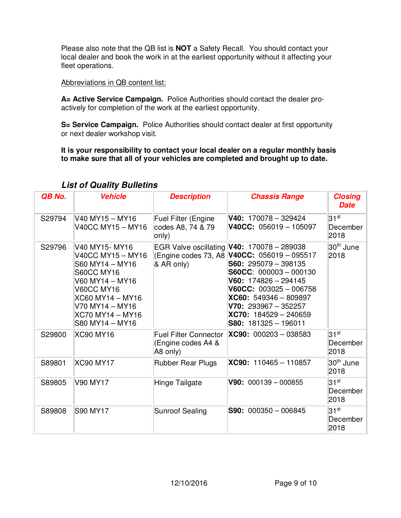Please also note that the QB list is **NOT** a Safety Recall. You should contact your local dealer and book the work in at the earliest opportunity without it affecting your fleet operations.

#### Abbreviations in QB content list:

**A= Active Service Campaign.** Police Authorities should contact the dealer proactively for completion of the work at the earliest opportunity.

**S= Service Campaign.** Police Authorities should contact dealer at first opportunity or next dealer workshop visit.

**It is your responsibility to contact your local dealer on a regular monthly basis to make sure that all of your vehicles are completed and brought up to date.** 

| QB No. | <b>Vehicle</b>                                                                                                                                                                                   | <b>Description</b>                                                | <b>Chassis Range</b>                                                                                                                                                                                                                                                                                                          | <b>Closing</b><br><b>Date</b>        |
|--------|--------------------------------------------------------------------------------------------------------------------------------------------------------------------------------------------------|-------------------------------------------------------------------|-------------------------------------------------------------------------------------------------------------------------------------------------------------------------------------------------------------------------------------------------------------------------------------------------------------------------------|--------------------------------------|
| S29794 | V40 MY15 - MY16<br>V40CC MY15 - MY16                                                                                                                                                             | <b>Fuel Filter (Engine</b><br>codes A8, 74 & 79<br>$ only\rangle$ | $V40: 170078 - 329424$<br>$V40CC: 056019 - 105097$                                                                                                                                                                                                                                                                            | 31 <sup>st</sup><br>December<br>2018 |
| S29796 | V40 MY15-MY16<br>V40CC MY15 - MY16<br>S60 MY14 - MY16<br><b>S60CC MY16</b><br>V60 MY14 - MY16<br><b>V60CC MY16</b><br>XC60 MY14 - MY16<br>V70 MY14 - MY16<br>XC70 MY14 - MY16<br>S80 MY14 - MY16 | & AR only)                                                        | EGR Valve oscillating <b>V40:</b> 170078 - 289038<br>(Engine codes 73, A8 <b>V40CC:</b> 056019 - 095517<br>$S60: 295079 - 398135$<br>$S60CC: 000003 - 000130$<br>$V60: 174826 - 294145$<br>$V60CC: 003025 - 006758$<br>$XCG0: 549346 - 809897$<br>$V70: 293967 - 352257$<br>$XC70: 184529 - 240659$<br>$S80: 181325 - 196011$ | 30 <sup>th</sup> June<br>2018        |
| S29800 | <b>XC90 MY16</b>                                                                                                                                                                                 | <b>Fuel Filter Connector</b><br>(Engine codes A4 &<br>A8 only)    | $XC90: 000203 - 038583$                                                                                                                                                                                                                                                                                                       | $31^{st}$<br>December<br>2018        |
| S89801 | <b>XC90 MY17</b>                                                                                                                                                                                 | <b>Rubber Rear Plugs</b>                                          | $XC90: 110465 - 110857$                                                                                                                                                                                                                                                                                                       | 30 <sup>th</sup> June<br>2018        |
| S89805 | V90 MY17                                                                                                                                                                                         | Hinge Tailgate                                                    | $V90: 000139 - 000855$                                                                                                                                                                                                                                                                                                        | 31 <sup>st</sup><br>December<br>2018 |
| S89808 | <b>S90 MY17</b>                                                                                                                                                                                  | <b>Sunroof Sealing</b>                                            | $S90: 000350 - 006845$                                                                                                                                                                                                                                                                                                        | $31^{st}$<br>December<br>2018        |

# *List of Quality Bulletins*